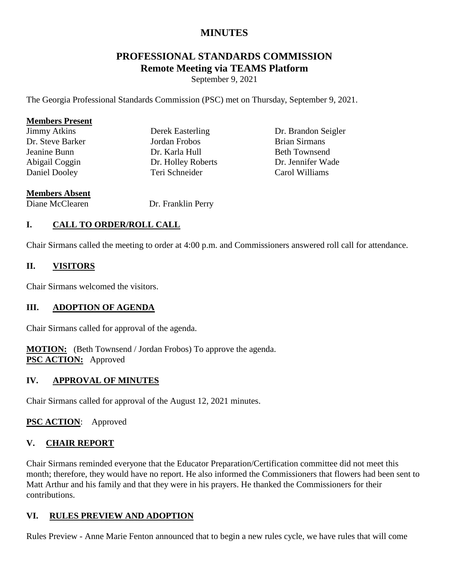## **MINUTES**

# **PROFESSIONAL STANDARDS COMMISSION Remote Meeting via TEAMS Platform**

September 9, 2021

The Georgia Professional Standards Commission (PSC) met on Thursday, September 9, 2021.

| <b>Members Present</b> |                    |                      |
|------------------------|--------------------|----------------------|
| <b>Jimmy Atkins</b>    | Derek Easterling   | Dr. Brandon Seigler  |
| Dr. Steve Barker       | Jordan Frobos      | <b>Brian Sirmans</b> |
| Jeanine Bunn           | Dr. Karla Hull     | <b>Beth Townsend</b> |
| Abigail Coggin         | Dr. Holley Roberts | Dr. Jennifer Wade    |
| Daniel Dooley          | Teri Schneider     | Carol Williams       |
| <b>Members Absent</b>  |                    |                      |
| Diane McClearen        | Dr. Franklin Perry |                      |

# **I. CALL TO ORDER/ROLL CALL**

Chair Sirmans called the meeting to order at 4:00 p.m. and Commissioners answered roll call for attendance.

#### **II. VISITORS**

Chair Sirmans welcomed the visitors.

#### **III. ADOPTION OF AGENDA**

Chair Sirmans called for approval of the agenda.

**MOTION:** (Beth Townsend / Jordan Frobos) To approve the agenda. **PSC ACTION:** Approved

#### **IV. APPROVAL OF MINUTES**

Chair Sirmans called for approval of the August 12, 2021 minutes.

**PSC ACTION**: Approved

#### **V. CHAIR REPORT**

Chair Sirmans reminded everyone that the Educator Preparation/Certification committee did not meet this month; therefore, they would have no report. He also informed the Commissioners that flowers had been sent to Matt Arthur and his family and that they were in his prayers. He thanked the Commissioners for their contributions.

#### **VI. RULES PREVIEW AND ADOPTION**

Rules Preview - Anne Marie Fenton announced that to begin a new rules cycle, we have rules that will come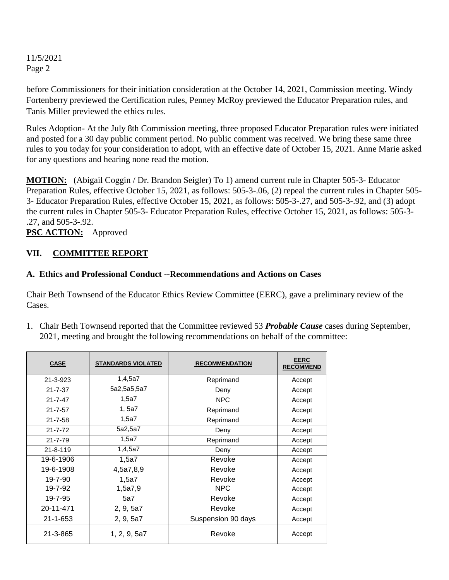before Commissioners for their initiation consideration at the October 14, 2021, Commission meeting. Windy Fortenberry previewed the Certification rules, Penney McRoy previewed the Educator Preparation rules, and Tanis Miller previewed the ethics rules.

Rules Adoption- At the July 8th Commission meeting, three proposed Educator Preparation rules were initiated and posted for a 30 day public comment period. No public comment was received. We bring these same three rules to you today for your consideration to adopt, with an effective date of October 15, 2021. Anne Marie asked for any questions and hearing none read the motion.

**MOTION:** (Abigail Coggin / Dr. Brandon Seigler) To 1) amend current rule in Chapter 505-3- Educator Preparation Rules, effective October 15, 2021, as follows: 505-3-.06, (2) repeal the current rules in Chapter 505- 3- Educator Preparation Rules, effective October 15, 2021, as follows: 505-3-.27, and 505-3-.92, and (3) adopt the current rules in Chapter 505-3- Educator Preparation Rules, effective October 15, 2021, as follows: 505-3- .27, and 505-3-.92.

**PSC ACTION:** Approved

#### **VII. COMMITTEE REPORT**

#### **A. Ethics and Professional Conduct --Recommendations and Actions on Cases**

Chair Beth Townsend of the Educator Ethics Review Committee (EERC), gave a preliminary review of the Cases.

1. Chair Beth Townsend reported that the Committee reviewed 53 *Probable Cause* cases during September, 2021, meeting and brought the following recommendations on behalf of the committee:

| <b>CASE</b>    | <b>STANDARDS VIOLATED</b> | <b>RECOMMENDATION</b> | <b>EERC</b><br><b>RECOMMEND</b> |
|----------------|---------------------------|-----------------------|---------------------------------|
| 21-3-923       | 1,4,5a7                   | Reprimand             | Accept                          |
| $21 - 7 - 37$  | 5a2,5a5,5a7               | Deny                  | Accept                          |
| $21 - 7 - 47$  | 1,5a7                     | <b>NPC</b>            | Accept                          |
| $21 - 7 - 57$  | 1, 5a7                    | Reprimand             | Accept                          |
| $21 - 7 - 58$  | 1,5a7                     | Reprimand             | Accept                          |
| $21 - 7 - 72$  | 5a2,5a7                   | Deny                  | Accept                          |
| $21 - 7 - 79$  | 1,5a7                     | Reprimand             | Accept                          |
| $21 - 8 - 119$ | 1,4,5a7                   | Deny                  | Accept                          |
| 19-6-1906      | 1,5a7                     | Revoke                | Accept                          |
| 19-6-1908      | 4,5a7,8,9                 | Revoke                | Accept                          |
| $19 - 7 - 90$  | 1,5a7                     | Revoke                | Accept                          |
| 19-7-92        | 1,5a7,9                   | <b>NPC</b>            | Accept                          |
| 19-7-95        | 5a7                       | Revoke                | Accept                          |
| 20-11-471      | 2, 9, 5a7                 | Revoke                | Accept                          |
| $21 - 1 - 653$ | 2, 9, 5a7                 | Suspension 90 days    | Accept                          |
| 21-3-865       | 1, 2, 9, 5a7              | Revoke                | Accept                          |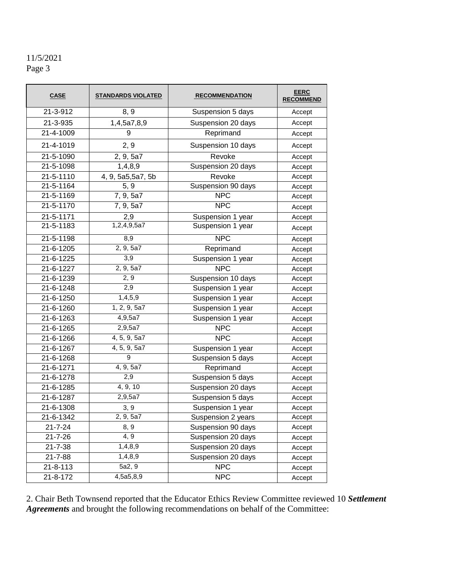| <b>CASE</b>    | <b>STANDARDS VIOLATED</b> | <b>RECOMMENDATION</b> | <b>EERC</b><br><b>RECOMMEND</b> |
|----------------|---------------------------|-----------------------|---------------------------------|
| 21-3-912       | 8, 9                      | Suspension 5 days     | Accept                          |
| 21-3-935       | 1,4,5a7,8,9               | Suspension 20 days    | Accept                          |
| 21-4-1009      | 9                         | Reprimand             | Accept                          |
| 21-4-1019      | 2, 9                      | Suspension 10 days    | Accept                          |
| 21-5-1090      | 2, 9, 5a7                 | Revoke                | Accept                          |
| 21-5-1098      | 1,4,8,9                   | Suspension 20 days    | Accept                          |
| 21-5-1110      | 4, 9, 5a5,5a7, 5b         | Revoke                | Accept                          |
| 21-5-1164      | 5, 9                      | Suspension 90 days    | Accept                          |
| 21-5-1169      | 7, 9, 5a7                 | <b>NPC</b>            | Accept                          |
| 21-5-1170      | 7, 9, 5a7                 | <b>NPC</b>            | Accept                          |
| 21-5-1171      | 2,9                       | Suspension 1 year     | Accept                          |
| 21-5-1183      | 1,2,4,9,5a7               | Suspension 1 year     | Accept                          |
| 21-5-1198      | 8,9                       | <b>NPC</b>            | Accept                          |
| 21-6-1205      | 2, 9, 5a7                 | Reprimand             | Accept                          |
| 21-6-1225      | 3,9                       | Suspension 1 year     | Accept                          |
| 21-6-1227      | 2, 9, 5a7                 | <b>NPC</b>            | Accept                          |
| 21-6-1239      | 2, 9                      | Suspension 10 days    | Accept                          |
| 21-6-1248      | 2,9                       | Suspension 1 year     | Accept                          |
| 21-6-1250      | 1,4,5,9                   | Suspension 1 year     | Accept                          |
| 21-6-1260      | 1, 2, 9, 5a7              | Suspension 1 year     | Accept                          |
| 21-6-1263      | 4,9,5a7                   | Suspension 1 year     | Accept                          |
| 21-6-1265      | 2,9,5a7                   | <b>NPC</b>            | Accept                          |
| 21-6-1266      | 4, 5, 9, 5a7              | <b>NPC</b>            | Accept                          |
| 21-6-1267      | 4, 5, 9, 5a7              | Suspension 1 year     | Accept                          |
| 21-6-1268      | 9                         | Suspension 5 days     | Accept                          |
| 21-6-1271      | 4, 9, 5a7                 | Reprimand             | Accept                          |
| 21-6-1278      | 2,9                       | Suspension 5 days     | Accept                          |
| 21-6-1285      | 4, 9, 10                  | Suspension 20 days    | Accept                          |
| 21-6-1287      | 2,9,5a7                   | Suspension 5 days     | Accept                          |
| 21-6-1308      | 3,9                       | Suspension 1 year     | Accept                          |
| 21-6-1342      | 2, 9, 5a7                 | Suspension 2 years    | Accept                          |
| $21 - 7 - 24$  | 8, 9                      | Suspension 90 days    | Accept                          |
| $21 - 7 - 26$  | 4, 9                      | Suspension 20 days    | Accept                          |
| $21 - 7 - 38$  | 1,4,8,9                   | Suspension 20 days    | Accept                          |
| 21-7-88        | 1,4,8,9                   | Suspension 20 days    | Accept                          |
| $21 - 8 - 113$ | 5a2, 9                    | <b>NPC</b>            | Accept                          |
| 21-8-172       | 4,5a5,8,9                 | <b>NPC</b>            | Accept                          |

2. Chair Beth Townsend reported that the Educator Ethics Review Committee reviewed 10 *Settlement Agreements* and brought the following recommendations on behalf of the Committee: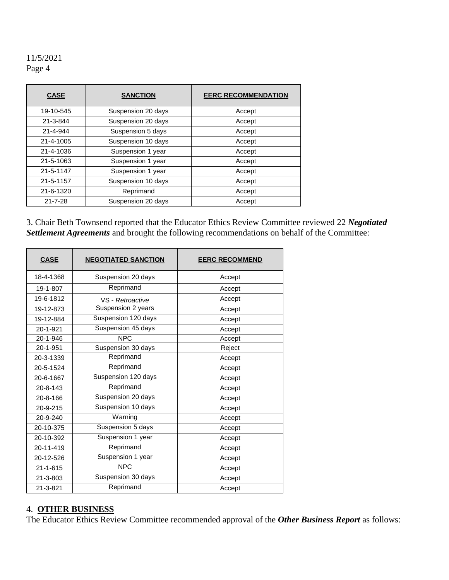| <b>CASE</b>   | <b>SANCTION</b>    | <b>EERC RECOMMENDATION</b> |  |
|---------------|--------------------|----------------------------|--|
| 19-10-545     | Suspension 20 days | Accept                     |  |
| 21-3-844      | Suspension 20 days | Accept                     |  |
| 21-4-944      | Suspension 5 days  | Accept                     |  |
| 21-4-1005     | Suspension 10 days | Accept                     |  |
| 21-4-1036     | Suspension 1 year  | Accept                     |  |
| 21-5-1063     | Suspension 1 year  | Accept                     |  |
| 21-5-1147     | Suspension 1 year  | Accept                     |  |
| 21-5-1157     | Suspension 10 days | Accept                     |  |
| 21-6-1320     | Reprimand          | Accept                     |  |
| $21 - 7 - 28$ | Suspension 20 days | Accept                     |  |

3. Chair Beth Townsend reported that the Educator Ethics Review Committee reviewed 22 *Negotiated Settlement Agreements* and brought the following recommendations on behalf of the Committee:

| <b>CASE</b>    | <b>NEGOTIATED SANCTION</b> | <b>EERC RECOMMEND</b> |
|----------------|----------------------------|-----------------------|
| 18-4-1368      | Suspension 20 days         | Accept                |
| 19-1-807       | Reprimand                  | Accept                |
| 19-6-1812      | VS - Retroactive           | Accept                |
| 19-12-873      | Suspension 2 years         | Accept                |
| 19-12-884      | Suspension 120 days        | Accept                |
| 20-1-921       | Suspension 45 days         | Accept                |
| 20-1-946       | NPC                        | Accept                |
| 20-1-951       | Suspension 30 days         | Reject                |
| 20-3-1339      | Reprimand                  | Accept                |
| 20-5-1524      | Reprimand                  | Accept                |
| 20-6-1667      | Suspension 120 days        | Accept                |
| $20 - 8 - 143$ | Reprimand                  | Accept                |
| 20-8-166       | Suspension 20 days         | Accept                |
| 20-9-215       | Suspension 10 days         | Accept                |
| 20-9-240       | Warning                    | Accept                |
| 20-10-375      | Suspension 5 days          | Accept                |
| 20-10-392      | Suspension 1 year          | Accept                |
| 20-11-419      | Reprimand                  | Accept                |
| 20-12-526      | Suspension 1 year          | Accept                |
| $21 - 1 - 615$ | <b>NPC</b>                 | Accept                |
| 21-3-803       | Suspension 30 days         | Accept                |
| 21-3-821       | Reprimand                  | Accept                |

#### 4. **OTHER BUSINESS**

The Educator Ethics Review Committee recommended approval of the *Other Business Report* as follows: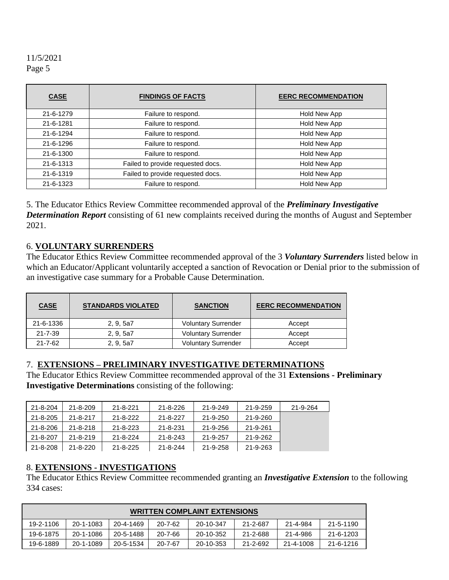| <b>CASE</b> | <b>FINDINGS OF FACTS</b>          | <b>EERC RECOMMENDATION</b> |
|-------------|-----------------------------------|----------------------------|
| 21-6-1279   | Failure to respond.               | Hold New App               |
| 21-6-1281   | Failure to respond.               | Hold New App               |
| 21-6-1294   | Failure to respond.               | Hold New App               |
| 21-6-1296   | Failure to respond.               | Hold New App               |
| 21-6-1300   | Failure to respond.               | Hold New App               |
| 21-6-1313   | Failed to provide requested docs. | Hold New App               |
| 21-6-1319   | Failed to provide requested docs. | Hold New App               |
| 21-6-1323   | Failure to respond.               | Hold New App               |

5. The Educator Ethics Review Committee recommended approval of the *Preliminary Investigative Determination Report* consisting of 61 new complaints received during the months of August and September 2021.

#### 6. **VOLUNTARY SURRENDERS**

The Educator Ethics Review Committee recommended approval of the 3 *Voluntary Surrenders* listed below in which an Educator/Applicant voluntarily accepted a sanction of Revocation or Denial prior to the submission of an investigative case summary for a Probable Cause Determination.

| <b>CASE</b>   | <b>STANDARDS VIOLATED</b> | <b>SANCTION</b>            | <b>EERC RECOMMENDATION</b> |
|---------------|---------------------------|----------------------------|----------------------------|
| 21-6-1336     | 2, 9, 5a7                 | <b>Voluntary Surrender</b> | Accept                     |
| $21 - 7 - 39$ | 2, 9, 5a7                 | <b>Voluntary Surrender</b> | Accept                     |
| $21 - 7 - 62$ | 2, 9, 5a7                 | <b>Voluntary Surrender</b> | Accept                     |

#### 7. **EXTENSIONS – PRELIMINARY INVESTIGATIVE DETERMINATIONS**

The Educator Ethics Review Committee recommended approval of the 31 **Extensions - Preliminary Investigative Determinations** consisting of the following:

| 21-8-204 | $21 - 8 - 209$ | $21 - 8 - 221$ | $21 - 8 - 226$ | 21-9-249 | 21-9-259 | 21-9-264 |
|----------|----------------|----------------|----------------|----------|----------|----------|
| 21-8-205 | $21 - 8 - 217$ | $21 - 8 - 222$ | $21 - 8 - 227$ | 21-9-250 | 21-9-260 |          |
| 21-8-206 | $21 - 8 - 218$ | $21 - 8 - 223$ | $21 - 8 - 231$ | 21-9-256 | 21-9-261 |          |
| 21-8-207 | $21 - 8 - 219$ | $21 - 8 - 224$ | $21 - 8 - 243$ | 21-9-257 | 21-9-262 |          |
| 21-8-208 | 21-8-220       | $21 - 8 - 225$ | 21-8-244       | 21-9-258 | 21-9-263 |          |

#### 8. **EXTENSIONS - INVESTIGATIONS**

The Educator Ethics Review Committee recommended granting an *Investigative Extension* to the following 334 cases:

| <b>WRITTEN COMPLAINT EXTENSIONS</b> |           |           |               |           |          |           |           |
|-------------------------------------|-----------|-----------|---------------|-----------|----------|-----------|-----------|
| 19-2-1106                           | 20-1-1083 | 20-4-1469 | $20 - 7 - 62$ | 20-10-347 | 21-2-687 | 21-4-984  | 21-5-1190 |
| 19-6-1875                           | 20-1-1086 | 20-5-1488 | $20 - 7 - 66$ | 20-10-352 | 21-2-688 | 21-4-986  | 21-6-1203 |
| 19-6-1889                           | 20-1-1089 | 20-5-1534 | $20 - 7 - 67$ | 20-10-353 | 21-2-692 | 21-4-1008 | 21-6-1216 |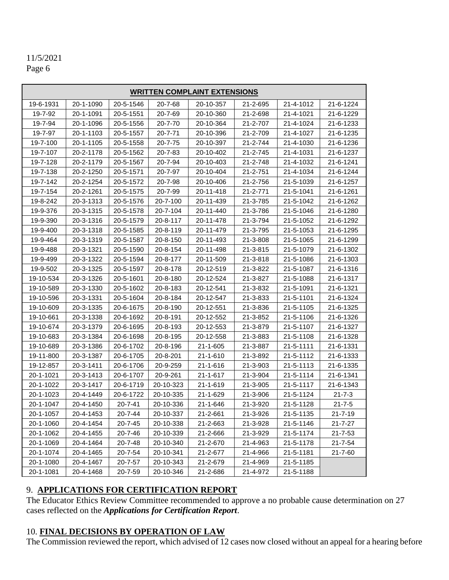# 11/5/2021

Page 6

| <b>WRITTEN COMPLAINT EXTENSIONS</b> |           |               |               |                |                |           |               |
|-------------------------------------|-----------|---------------|---------------|----------------|----------------|-----------|---------------|
| 19-6-1931                           | 20-1-1090 | 20-5-1546     | 20-7-68       | 20-10-357      | 21-2-695       | 21-4-1012 | 21-6-1224     |
| 19-7-92                             | 20-1-1091 | 20-5-1551     | 20-7-69       | 20-10-360      | 21-2-698       | 21-4-1021 | 21-6-1229     |
| 19-7-94                             | 20-1-1096 | 20-5-1556     | 20-7-70       | 20-10-364      | 21-2-707       | 21-4-1024 | 21-6-1233     |
| 19-7-97                             | 20-1-1103 | 20-5-1557     | $20 - 7 - 71$ | 20-10-396      | 21-2-709       | 21-4-1027 | 21-6-1235     |
| 19-7-100                            | 20-1-1105 | 20-5-1558     | 20-7-75       | 20-10-397      | 21-2-744       | 21-4-1030 | 21-6-1236     |
| 19-7-107                            | 20-2-1178 | 20-5-1562     | $20 - 7 - 83$ | 20-10-402      | $21 - 2 - 745$ | 21-4-1031 | 21-6-1237     |
| 19-7-128                            | 20-2-1179 | 20-5-1567     | 20-7-94       | 20-10-403      | 21-2-748       | 21-4-1032 | 21-6-1241     |
| 19-7-138                            | 20-2-1250 | 20-5-1571     | 20-7-97       | 20-10-404      | 21-2-751       | 21-4-1034 | 21-6-1244     |
| 19-7-142                            | 20-2-1254 | 20-5-1572     | 20-7-98       | 20-10-406      | 21-2-756       | 21-5-1039 | 21-6-1257     |
| 19-7-154                            | 20-2-1261 | 20-5-1575     | 20-7-99       | 20-11-418      | 21-2-771       | 21-5-1041 | 21-6-1261     |
| 19-8-242                            | 20-3-1313 | 20-5-1576     | 20-7-100      | 20-11-439      | 21-3-785       | 21-5-1042 | 21-6-1262     |
| 19-9-376                            | 20-3-1315 | 20-5-1578     | 20-7-104      | 20-11-440      | 21-3-786       | 21-5-1046 | 21-6-1280     |
| 19-9-390                            | 20-3-1316 | 20-5-1579     | 20-8-117      | 20-11-478      | 21-3-794       | 21-5-1052 | 21-6-1292     |
| 19-9-400                            | 20-3-1318 | 20-5-1585     | 20-8-119      | 20-11-479      | 21-3-795       | 21-5-1053 | 21-6-1295     |
| 19-9-464                            | 20-3-1319 | 20-5-1587     | 20-8-150      | 20-11-493      | 21-3-808       | 21-5-1065 | 21-6-1299     |
| 19-9-488                            | 20-3-1321 | 20-5-1590     | 20-8-154      | 20-11-498      | 21-3-815       | 21-5-1079 | 21-6-1302     |
| 19-9-499                            | 20-3-1322 | 20-5-1594     | 20-8-177      | 20-11-509      | 21-3-818       | 21-5-1086 | 21-6-1303     |
| 19-9-502                            | 20-3-1325 | 20-5-1597     | 20-8-178      | 20-12-519      | 21-3-822       | 21-5-1087 | 21-6-1316     |
| 19-10-534                           | 20-3-1326 | 20-5-1601     | 20-8-180      | 20-12-524      | 21-3-827       | 21-5-1088 | 21-6-1317     |
| 19-10-589                           | 20-3-1330 | 20-5-1602     | 20-8-183      | 20-12-541      | 21-3-832       | 21-5-1091 | 21-6-1321     |
| 19-10-596                           | 20-3-1331 | 20-5-1604     | 20-8-184      | 20-12-547      | 21-3-833       | 21-5-1101 | 21-6-1324     |
| 19-10-609                           | 20-3-1335 | 20-6-1675     | 20-8-190      | 20-12-551      | 21-3-836       | 21-5-1105 | 21-6-1325     |
| 19-10-661                           | 20-3-1338 | 20-6-1692     | 20-8-191      | 20-12-552      | 21-3-852       | 21-5-1106 | 21-6-1326     |
| 19-10-674                           | 20-3-1379 | 20-6-1695     | 20-8-193      | 20-12-553      | 21-3-879       | 21-5-1107 | 21-6-1327     |
| 19-10-683                           | 20-3-1384 | 20-6-1698     | 20-8-195      | 20-12-558      | 21-3-883       | 21-5-1108 | 21-6-1328     |
| 19-10-689                           | 20-3-1386 | 20-6-1702     | 20-8-196      | $21 - 1 - 605$ | 21-3-887       | 21-5-1111 | 21-6-1331     |
| 19-11-800                           | 20-3-1387 | 20-6-1705     | 20-8-201      | $21 - 1 - 610$ | 21-3-892       | 21-5-1112 | 21-6-1333     |
| 19-12-857                           | 20-3-1411 | 20-6-1706     | 20-9-259      | $21 - 1 - 616$ | 21-3-903       | 21-5-1113 | 21-6-1335     |
| 20-1-1021                           | 20-3-1413 | 20-6-1707     | 20-9-261      | $21 - 1 - 617$ | 21-3-904       | 21-5-1114 | 21-6-1341     |
| 20-1-1022                           | 20-3-1417 | 20-6-1719     | 20-10-323     | 21-1-619       | 21-3-905       | 21-5-1117 | 21-6-1343     |
| 20-1-1023                           | 20-4-1449 | 20-6-1722     | 20-10-335     | 21-1-629       | 21-3-906       | 21-5-1124 | $21 - 7 - 3$  |
| 20-1-1047                           | 20-4-1450 | $20 - 7 - 41$ | 20-10-336     | $21 - 1 - 646$ | 21-3-920       | 21-5-1128 | $21 - 7 - 5$  |
| 20-1-1057                           | 20-4-1453 | 20-7-44       | 20-10-337     | 21-2-661       | 21-3-926       | 21-5-1135 | $21 - 7 - 19$ |
| 20-1-1060                           | 20-4-1454 | $20 - 7 - 45$ | 20-10-338     | 21-2-663       | 21-3-928       | 21-5-1146 | 21-7-27       |
| 20-1-1062                           | 20-4-1455 | 20-7-46       | 20-10-339     | 21-2-666       | 21-3-929       | 21-5-1174 | 21-7-53       |
| 20-1-1069                           | 20-4-1464 | $20 - 7 - 48$ | 20-10-340     | 21-2-670       | 21-4-963       | 21-5-1178 | 21-7-54       |
| 20-1-1074                           | 20-4-1465 | 20-7-54       | 20-10-341     | 21-2-677       | 21-4-966       | 21-5-1181 | 21-7-60       |
| 20-1-1080                           | 20-4-1467 | 20-7-57       | 20-10-343     | 21-2-679       | 21-4-969       | 21-5-1185 |               |
| 20-1-1081                           | 20-4-1468 | 20-7-59       | 20-10-346     | 21-2-686       | 21-4-972       | 21-5-1188 |               |

# 9. **APPLICATIONS FOR CERTIFICATION REPORT**

The Educator Ethics Review Committee recommended to approve a no probable cause determination on 27 cases reflected on the *Applications for Certification Report*.

### 10. **FINAL DECISIONS BY OPERATION OF LAW**

The Commission reviewed the report, which advised of 12 cases now closed without an appeal for a hearing before